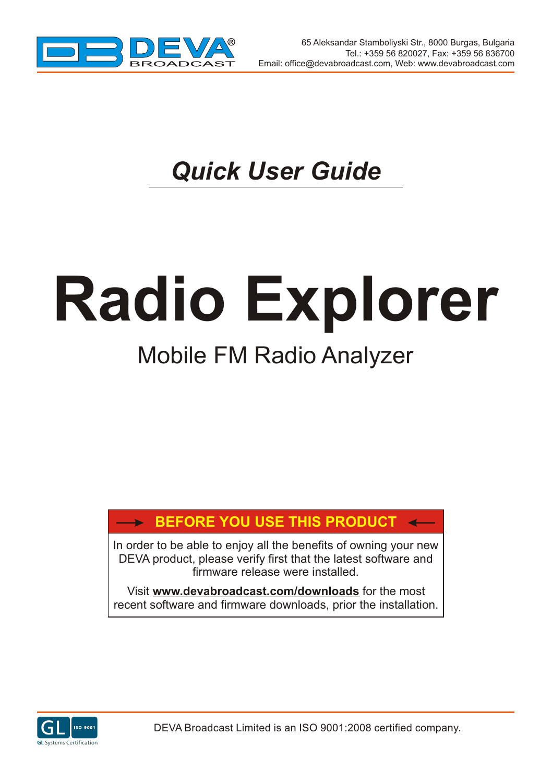

# *Quick User Guide*

# **Radio Explorer**

## Mobile FM Radio Analyzer

### **BEFORE YOU USE THIS PRODUCT**

In order to be able to enjoy all the benefits of owning your new DEVA product, please verify first that the latest software and firmware release were installed.

Visit **www.devabroadcast.com/downloads** for the most recent software and firmware downloads, prior the installation.

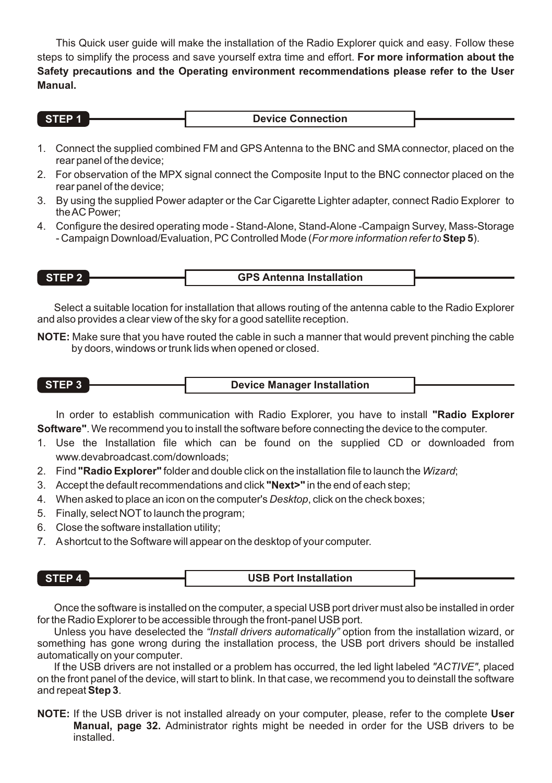This Quick user guide will make the installation of the Radio Explorer quick and easy. Follow these steps to simplify the process and save yourself extra time and effort. **For more information about the Safety precautions and the Operating environment recommendations please refer to the User Manual.**

| STEP 1. | <b>Device Connection</b> |  |
|---------|--------------------------|--|

- 1. Connect the supplied combined FM and GPS Antenna to the BNC and SMAconnector, placed on the rear panel of the device;
- 2. For observation of the MPX signal connect the Composite Input to the BNC connector placed on the rear panel of the device;
- 3. By using the supplied Power adapter or the Car Cigarette Lighter adapter, connect Radio Explorer to the AC Power;
- 4. Configure the desired operating mode Stand-Alone, Stand-Alone -Campaign Survey, Mass-Storage - Campaign Download/Evaluation, PC Controlled Mode (*For more information refer to***Step 5**).

| STEP <sub>2</sub> | <b>GPS Antenna Installation</b> |  |
|-------------------|---------------------------------|--|
|                   |                                 |  |

Select a suitable location for installation that allows routing of the antenna cable to the Radio Explorer and also provides a clear view of the sky for a good satellite reception.

**NOTE:** Make sure that you have routed the cable in such a manner that would prevent pinching the cable by doors, windows or trunk lids when opened or closed.

**STEP 3 Device Manager Installation**

In order to establish communication with Radio Explorer, you have to install **"Radio Explorer Software"**. We recommend you to install the software before connecting the device to the computer.

- 1. Use the Installation file which can be found on the supplied CD or downloaded from www.devabroadcast.com/downloads;
- 2. Find **"Radio Explorer"** folder and double click on the installation file to launch the *Wizard*;
- 3. Accept the default recommendations and click **"Next>"** in the end of each step;
- 4. When asked to place an icon on the computer's *Desktop*, click on the check boxes;
- 5. Finally, select NOT to launch the program;
- 6. Close the software installation utility;
- 7. Ashortcut to the Software will appear on the desktop of your computer.

|  | STEP 4 | <b>USB Port Installation</b> |  |
|--|--------|------------------------------|--|
|--|--------|------------------------------|--|

Once the software is installed on the computer, a special USB port driver must also be installed in order for the Radio Explorer to be accessible through the front-panel USB port.

Unless you have deselected the *"Install drivers automatically"* option from the installation wizard, or something has gone wrong during the installation process, the USB port drivers should be installed automatically on your computer.

If the USB drivers are not installed or a problem has occurred, the led light labeled *"ACTIVE"*, placed on the front panel of the device, will start to blink. In that case, we recommend you to deinstall the software and repeat **Step 3**.

**NOTE:** If the USB driver is not installed already on your computer, please, refer to the complete **User Manual, page 32.** Administrator rights might be needed in order for the USB drivers to be installed.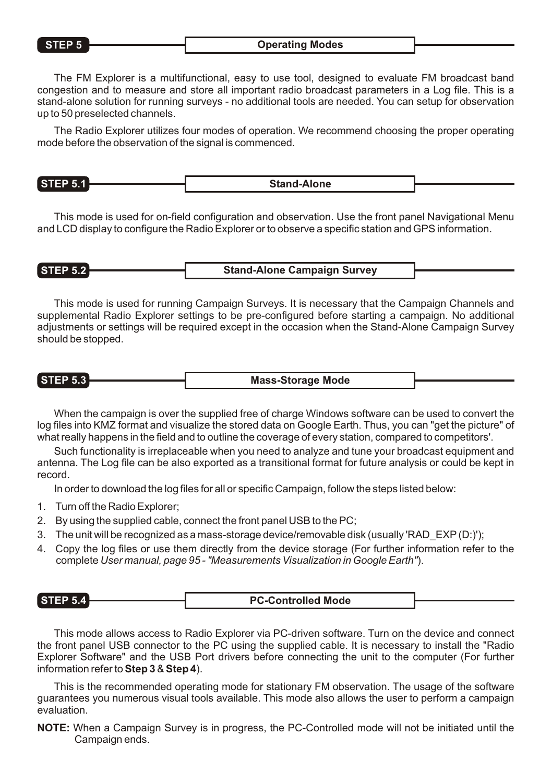#### **STEP 5 Operating Modes**

The FM Explorer is a multifunctional, easy to use tool, designed to evaluate FM broadcast band congestion and to measure and store all important radio broadcast parameters in a Log file. This is a stand-alone solution for running surveys - no additional tools are needed. You can setup for observation up to 50 preselected channels.

The Radio Explorer utilizes four modes of operation. We recommend choosing the proper operating mode before the observation of the signal is commenced.

This mode is used for on-field configuration and observation. Use the front panel Navigational Menu and LCD display to configure the Radio Explorer or to observe a specific station and GPS information.

#### **STEP 5.2 Stand-Alone Campaign Survey**

This mode is used for running Campaign Surveys. It is necessary that the Campaign Channels and supplemental Radio Explorer settings to be pre-configured before starting a campaign. No additional adjustments or settings will be required except in the occasion when the Stand-Alone Campaign Survey should be stopped.

**STEP 5.3 Mass-Storage Mode**

When the campaign is over the supplied free of charge Windows software can be used to convert the log files into KMZ format and visualize the stored data on Google Earth. Thus, you can "get the picture" of what really happens in the field and to outline the coverage of every station, compared to competitors'.

Such functionality is irreplaceable when you need to analyze and tune your broadcast equipment and antenna. The Log file can be also exported as a transitional format for future analysis or could be kept in record.

In order to download the log files for all or specific Campaign, follow the steps listed below:

- 1. Turn off the Radio Explorer;
- 2. By using the supplied cable, connect the front panel USB to the PC;
- 3. The unit will be recognized as a mass-storage device/removable disk (usually 'RAD EXP(D:)');
- 4. Copy the log files or use them directly from the device storage (For further information refer to the complete *User manual, page 95 - "Measurements Visualization in Google Earth"*).

| <b>STEP 5.</b><br>™™ | <b>PC-Controlled Mode</b> |  |
|----------------------|---------------------------|--|
|                      |                           |  |

This mode allows access to Radio Explorer via PC-driven software. Turn on the device and connect the front panel USB connector to the PC using the supplied cable. It is necessary to install the "Radio Explorer Software" and the USB Port drivers before connecting the unit to the computer (For further information refer to **Step 3** & **Step 4**).

This is the recommended operating mode for stationary FM observation. The usage of the software guarantees you numerous visual tools available. This mode also allows the user to perform a campaign evaluation.

**NOTE:** When a Campaign Survey is in progress, the PC-Controlled mode will not be initiated until the Campaign ends.